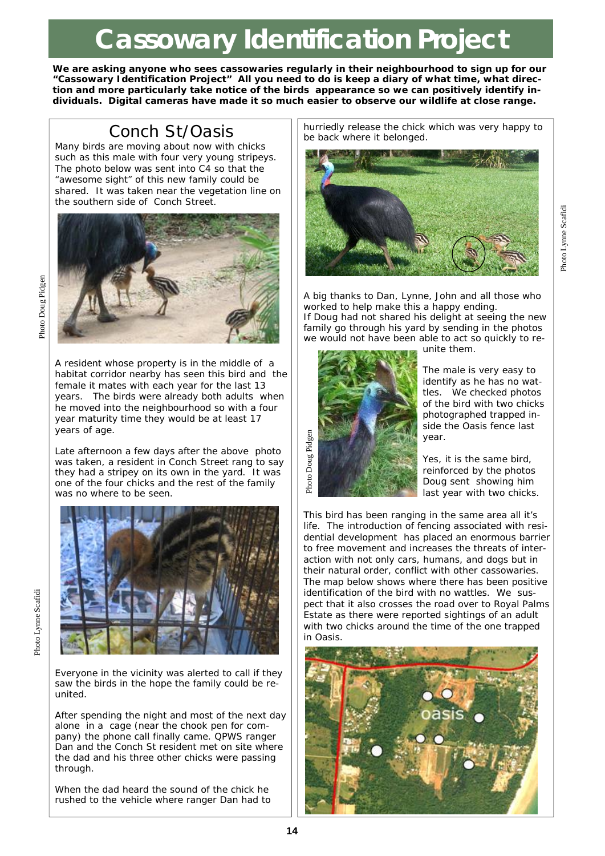# **Cassowary Identification Project**

**We are asking anyone who sees cassowaries regularly in their neighbourhood to sign up for our "Cassowary Identification Project" All you need to do is keep a diary of what time, what direction and more particularly take notice of the birds appearance so we can positively identify individuals. Digital cameras have made it so much easier to observe our wildlife at close range.** 

## Conch St/Oasis

Many birds are moving about now with chicks such as this male with four very young stripeys. The photo below was sent into C4 so that the *"awesome sight"* of this new family could be shared. It was taken near the vegetation line on the southern side of Conch Street.



A resident whose property is in the middle of a habitat corridor nearby has seen this bird and the female it mates with each year for the last 13 years. The birds were already both adults when he moved into the neighbourhood so with a four year maturity time they would be at least 17 years of age.

Late afternoon a few days after the above photo was taken, a resident in Conch Street rang to say they had a stripey on its own in the yard. It was one of the four chicks and the rest of the family was no where to be seen.



Everyone in the vicinity was alerted to call if they saw the birds in the hope the family could be reunited.

After spending the night and most of the next day alone in a cage (near the chook pen for company) the phone call finally came. QPWS ranger Dan and the Conch St resident met on site where the dad and his three other chicks were passing through.

When the dad heard the sound of the chick he rushed to the vehicle where ranger Dan had to hurriedly release the chick which was very happy to be back where it belonged.



A big thanks to Dan, Lynne, John and all those who worked to help make this a happy ending. If Doug had not shared his delight at seeing the new family go through his yard by sending in the photos



we would not have been able to act so quickly to reunite them.

> The male is very easy to identify as he has no wattles. We checked photos of the bird with two chicks photographed trapped inside the Oasis fence last year.

Yes, it is the same bird, reinforced by the photos Doug sent showing him last year with two chicks.

This bird has been ranging in the same area all it's life. The introduction of fencing associated with residential development has placed an enormous barrier to free movement and increases the threats of interaction with not only cars, humans, and dogs but in their natural order, conflict with other cassowaries. The map below shows where there has been positive identification of the bird with no wattles. We suspect that it also crosses the road over to Royal Palms Estate as there were reported sightings of an adult with two chicks around the time of the one trapped in Oasis.



Photo Doug Pidgen

Photo Doug Pidgen